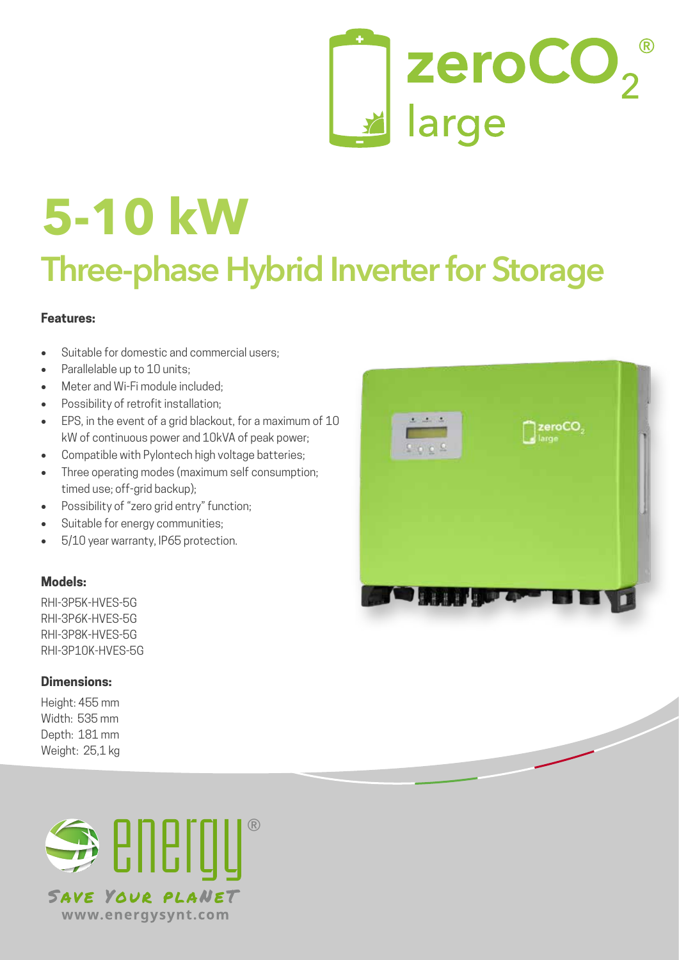# zeroCO<sub>2</sub>

# **Three-phase Hybrid Inverter for Storage 5-10 kW**

# **Features:**

- Suitable for domestic and commercial users:
- Parallelable up to 10 units:
- Meter and Wi-Fi module included:
- Possibility of retrofit installation;
- EPS, in the event of a grid blackout, for a maximum of 10 kW of continuous power and 10kVA of peak power;
- Compatible with Pylontech high voltage batteries;
- Three operating modes (maximum self consumption; timed use; off-grid backup);
- Possibility of "zero grid entry" function;
- Suitable for energy communities;
- 5/10 year warranty, IP65 protection.

## **Models:**

RHI-3P5K-HVES-5G RHI-3P6K-HVES-5G RHI-3P8K-HVES-5G RHI-3P10K-HVES-5G

## **Dimensions:**

Height: 455 mm Width: 535 mm Depth: 181 mm Weight: 25,1 kg